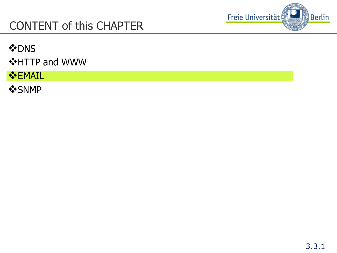

#### CONTENT of this CHAPTER

**VDNS** 

**❖HTTP and WWW** 

**V**EMAIL

**VSNMP**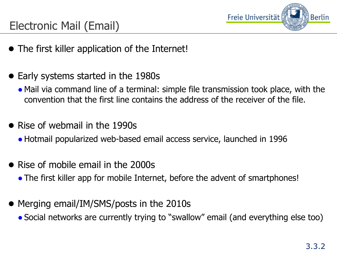

## Electronic Mail (Email)

- The first killer application of the Internet!
- Early systems started in the 1980s
	- Mail via command line of a terminal: simple file transmission took place, with the convention that the first line contains the address of the receiver of the file.
- Rise of webmail in the 1990s
	- ●Hotmail popularized web-based email access service, launched in 1996
- Rise of mobile email in the 2000s
	- The first killer app for mobile Internet, before the advent of smartphones!
- Merging email/IM/SMS/posts in the 2010s
	- Social networks are currently trying to "swallow" email (and everything else too)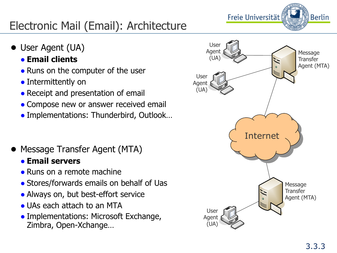

## Electronic Mail (Email): Architecture

- User Agent (UA)
	- **Email clients**
	- Runs on the computer of the user
	- Intermittently on
	- Receipt and presentation of email
	- Compose new or answer received email
	- Implementations: Thunderbird, Outlook...
- Message Transfer Agent (MTA)
	- **Email servers**
	- Runs on a remote machine
	- Stores/forwards emails on behalf of Uas
	- Always on, but best-effort service
	- UAs each attach to an MTA
	- Implementations: Microsoft Exchange, Zimbra, Open-Xchange…

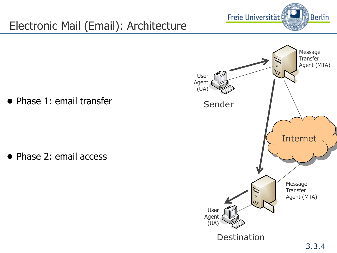

## Electronic Mail (Email): Architecture

● Phase 1: email transfer

● Phase 2: email access

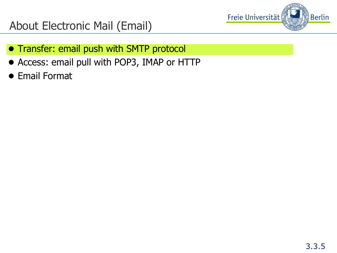

#### About Electronic Mail (Email)

- Transfer: email push with SMTP protocol
- Access: email pull with POP3, IMAP or HTTP
- Email Format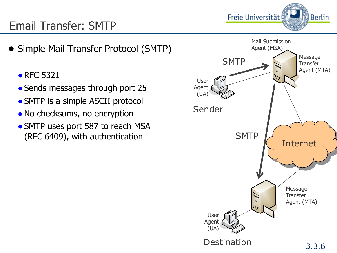

#### Email Transfer: SMTP

- Simple Mail Transfer Protocol (SMTP)
	- RFC 5321
	- Sends messages through port 25
	- SMTP is a simple ASCII protocol
	- No checksums, no encryption
	- SMTP uses port 587 to reach MSA (RFC 6409), with authentication

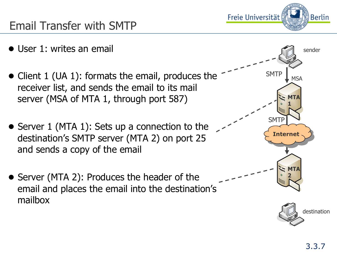

#### Email Transfer with SMTP

- User 1: writes an email
- Client 1 (UA 1): formats the email, produces the receiver list, and sends the email to its mail server (MSA of MTA 1, through port 587)
- Server 1 (MTA 1): Sets up a connection to the destination's SMTP server (MTA 2) on port 25 and sends a copy of the email
- Server (MTA 2): Produces the header of the email and places the email into the destination's mailbox

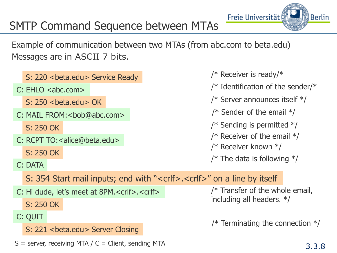#### 3.3.8

Berlin

Freie Universität

#### SMTP Command Sequence between MTAs

Example of communication between two MTAs (from abc.com to beta.edu) Messages are in ASCII 7 bits.

|         | S: 220 < beta.edu > Service Ready                                                     | /* Receiver is ready/*             |  |  |
|---------|---------------------------------------------------------------------------------------|------------------------------------|--|--|
|         | C: EHLO < abc.com>                                                                    | /* Identification of the sender/*  |  |  |
|         | $S: 250$<br>cheta.edu> OK                                                             | /* Server announces itself $*/$    |  |  |
|         | C: MAIL FROM: < bob@abc.com>                                                          | /* Sender of the email $*/$        |  |  |
|         | S: 250 OK                                                                             | /* Sending is permitted $*/$       |  |  |
|         | C: RCPT TO: < alice@beta.edu>                                                         | /* Receiver of the email $*/$      |  |  |
|         | S: 250 OK                                                                             | /* Receiver known $*/$             |  |  |
|         | C: DATA                                                                               | /* The data is following $*/$      |  |  |
|         | S: 354 Start mail inputs; end with " <crlf>.<crlf>" on a line by itself</crlf></crlf> |                                    |  |  |
|         | C: Hi dude, let's meet at 8PM. <crlf>.<crlf></crlf></crlf>                            | $/*$ Transfer of the whole email,  |  |  |
|         | S: 250 OK                                                                             | including all headers. */          |  |  |
| C: QUIT |                                                                                       |                                    |  |  |
|         | S: 221<br>beta.edu> Server Closing                                                    | /* Terminating the connection $*/$ |  |  |
|         | $S =$ server, receiving MTA / $C =$ Client, sending MTA                               |                                    |  |  |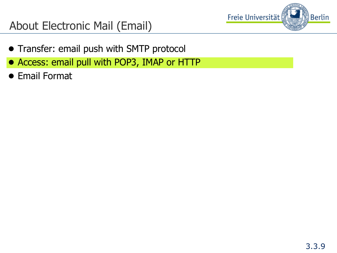

#### About Electronic Mail (Email)

- Transfer: email push with SMTP protocol
- Access: email pull with POP3, IMAP or HTTP
- Email Format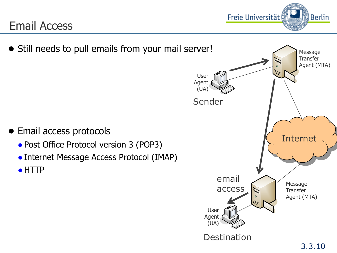#### Email Access



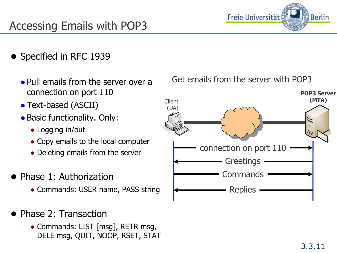#### Accessing Emails with POP3

- Specified in RFC 1939
	- Pull emails from the server over a connection on port 110
	- Text-based (ASCII)
	- Basic functionality. Only:
		- Logging in/out
		- Copy emails to the local computer
		- Deleting emails from the server
- Phase 1: Authorization
	- Commands: USER name, PASS string
- Phase 2: Transaction
	- Commands: LIST [msg], RETR msg, DELE msg, QUIT, NOOP, RSET, STAT





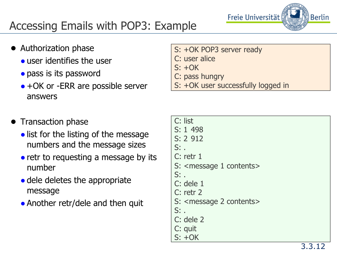

## Accessing Emails with POP3: Example

- Authorization phase
	- user identifies the user
	- pass is its password
	- $\bullet$  +OK or -ERR are possible server answers
- S: +OK POP3 server ready
- C: user alice
- $S: +OK$
- C: pass hungry
- S: +OK user successfully logged in

|  | Transaction phase |  |
|--|-------------------|--|
|--|-------------------|--|

- list for the listing of the message numbers and the message sizes
- retr to requesting a message by its number
- dele deletes the appropriate message
- Another retr/dele and then quit

| C: list                                 |
|-----------------------------------------|
| S: 1 498                                |
| S: 2 912                                |
| $Si$ .                                  |
| $C:$ retr $1$                           |
| S: <message 1="" contents=""></message> |
| $Si$ .                                  |
| C: dele 1                               |
| $C:$ retr $2$                           |
| S: <message 2="" contents=""></message> |
| $Si$ .                                  |
| C: dele 2                               |
| C: quit                                 |
| $S: +OK$                                |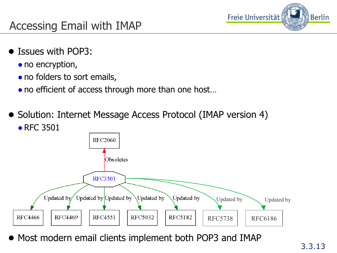

#### Accessing Email with IMAP

- Issues with POP3:
	- no encryption,
	- no folders to sort emails,
	- no efficient of access through more than one host...
- Solution: Internet Message Access Protocol (IMAP version 4) • RFC 3501



● Most modern email clients implement both POP3 and IMAP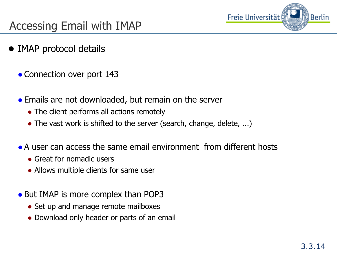

#### Accessing Email with IMAP

- IMAP protocol details
	- Connection over port 143
	- Emails are not downloaded, but remain on the server
		- The client performs all actions remotely
		- The vast work is shifted to the server (search, change, delete, ...)
	- $\bullet$  A user can access the same email environment from different hosts
		- Great for nomadic users
		- Allows multiple clients for same user
	- But IMAP is more complex than POP3
		- Set up and manage remote mailboxes
		- Download only header or parts of an email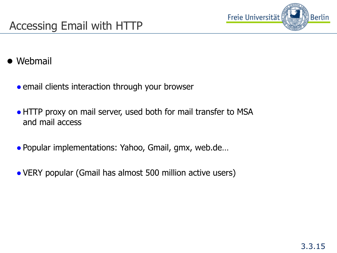

- Webmail
	- email clients interaction through your browser
	- HTTP proxy on mail server, used both for mail transfer to MSA and mail access
	- Popular implementations: Yahoo, Gmail, gmx, web.de...
	- VERY popular (Gmail has almost 500 million active users)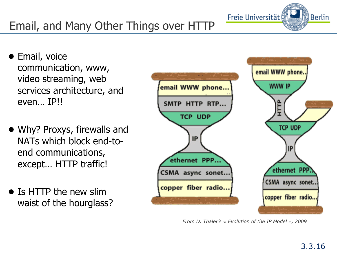# Email, and Many Other Things over HTTP

- Email, voice communication, www, video streaming, web services architecture, and even… IP!!
- Why? Proxys, firewalls and NATs which block end-toend communications, except… HTTP traffic!
- Is HTTP the new slim waist of the hourglass?



*From D. Thaler's « Evolution of the IP Model », 2009* 

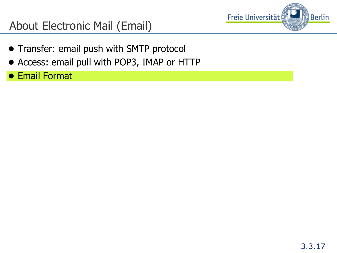

#### About Electronic Mail (Email)

- Transfer: email push with SMTP protocol
- Access: email pull with POP3, IMAP or HTTP
- Email Format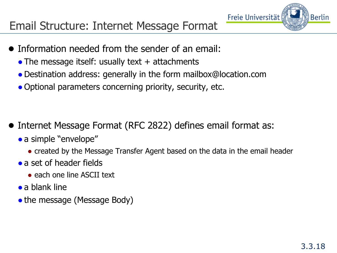

- Information needed from the sender of an email:
	- The message itself: usually text  $+$  attachments
	- ●Destination address: generally in the form mailbox@location.com
	- Optional parameters concerning priority, security, etc.

- Internet Message Format (RFC 2822) defines email format as:
	- a simple "envelope"
		- created by the Message Transfer Agent based on the data in the email header
	- a set of header fields
		- each one line ASCII text
	- $\bullet$  a blank line
	- the message (Message Body)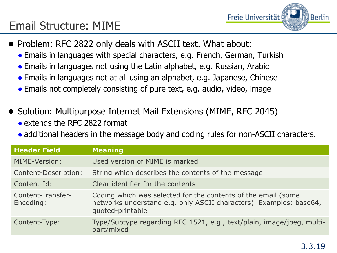#### Email Structure: MIME

- Freie Universität **Berlin**
- Problem: RFC 2822 only deals with ASCII text. What about:
	- Emails in languages with special characters, e.g. French, German, Turkish
	- Emails in languages not using the Latin alphabet, e.g. Russian, Arabic
	- Emails in languages not at all using an alphabet, e.g. Japanese, Chinese
	- Emails not completely consisting of pure text, e.g. audio, video, image
- Solution: Multipurpose Internet Mail Extensions (MIME, RFC 2045)  $\bullet$  extends the RFC 2822 format
	- additional headers in the message body and coding rules for non-ASCII characters.

| <b>Header Field</b>            | <b>Meaning</b>                                                                                                                                          |
|--------------------------------|---------------------------------------------------------------------------------------------------------------------------------------------------------|
| MIME-Version:                  | Used version of MIME is marked                                                                                                                          |
| <b>Content-Description:</b>    | String which describes the contents of the message                                                                                                      |
| Content-Id:                    | Clear identifier for the contents                                                                                                                       |
| Content-Transfer-<br>Encoding: | Coding which was selected for the contents of the email (some<br>networks understand e.g. only ASCII characters). Examples: base64,<br>quoted-printable |
| Content-Type:                  | Type/Subtype regarding RFC 1521, e.g., text/plain, image/jpeg, multi-<br>part/mixed                                                                     |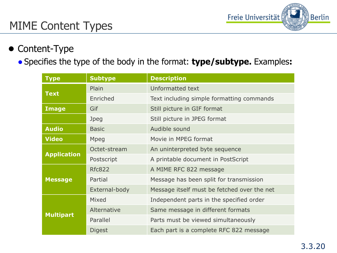

#### MIME Content Types

#### ● Content-Type

#### ● Specifies the type of the body in the format: **type/subtype.** Examples**:**

| <b>Type</b>        | <b>Subtype</b> | <b>Description</b>                          |
|--------------------|----------------|---------------------------------------------|
|                    | Plain          | Unformatted text                            |
| <b>Text</b>        | Enriched       | Text including simple formatting commands   |
| <b>Image</b>       | Gif            | Still picture in GIF format                 |
|                    | Jpeg           | Still picture in JPEG format                |
| <b>Audio</b>       | <b>Basic</b>   | Audible sound                               |
| <b>Video</b>       | Mpeg           | Movie in MPEG format                        |
|                    | Octet-stream   | An uninterpreted byte sequence              |
| <b>Application</b> | Postscript     | A printable document in PostScript          |
|                    | <b>Rfc822</b>  | A MIME RFC 822 message                      |
| <b>Message</b>     | Partial        | Message has been split for transmission     |
|                    | External-body  | Message itself must be fetched over the net |
|                    | Mixed          | Independent parts in the specified order    |
| <b>Multipart</b>   | Alternative    | Same message in different formats           |
|                    | Parallel       | Parts must be viewed simultaneously         |
|                    | <b>Digest</b>  | Each part is a complete RFC 822 message     |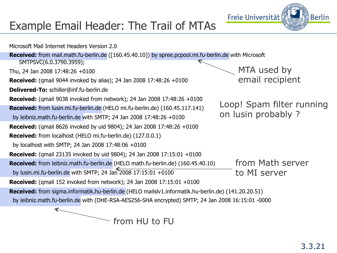#### Example Email Header: The Trail of MTAs



from HU to FU

**Berlin** 

Freie Universität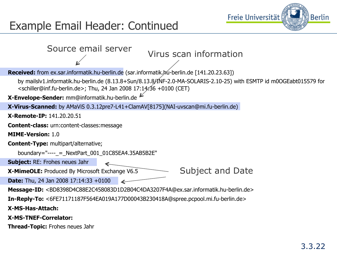

#### Example Email Header: Continued

| Source email server<br>Virus scan information                                                                                                                                                                         |  |  |  |  |
|-----------------------------------------------------------------------------------------------------------------------------------------------------------------------------------------------------------------------|--|--|--|--|
| Received: from ex.sar.informatik.hu-berlin.de (sar.informatik.hu-berlin.de [141.20.23.63])                                                                                                                            |  |  |  |  |
| by mailslv1.informatik.hu-berlin.de (8.13.8+Sun/8.13.8/1NF-2.0-MA-SOLARIS-2.10-25) with ESMTP id m0OGEabt015579 for<br><schiller@inf.fu-berlin.de>; Thu, 24 Jan 2008 17:14:36 +0100 (CET)</schiller@inf.fu-berlin.de> |  |  |  |  |
| X-Envelope-Sender: mm@informatik.hu-berlin.de                                                                                                                                                                         |  |  |  |  |
| X-Virus-Scanned: by AMaViS 0.3.12pre7-L41+ClamAV[8175](NAI-uvscan@mi.fu-berlin.de)                                                                                                                                    |  |  |  |  |
| <b>X-Remote-IP: 141.20.20.51</b>                                                                                                                                                                                      |  |  |  |  |
| <b>Content-class:</b> urn:content-classes: message                                                                                                                                                                    |  |  |  |  |
| <b>MIME-Version: 1.0</b>                                                                                                                                                                                              |  |  |  |  |
| <b>Content-Type:</b> multipart/alternative;                                                                                                                                                                           |  |  |  |  |
| boundary="----_ = _ NextPart_001_01C85EA4.35AB5B2E"                                                                                                                                                                   |  |  |  |  |
| <b>Subject: RE: Frohes neues Jahr</b>                                                                                                                                                                                 |  |  |  |  |
| <b>Subject and Date</b><br>X-MimeOLE: Produced By Microsoft Exchange V6.5                                                                                                                                             |  |  |  |  |
| <b>Date:</b> Thu, 24 Jan 2008 17:14:33 +0100                                                                                                                                                                          |  |  |  |  |
| Message-ID: <bd8398d4c88e2c458083d1d2b04c4da3207f4a@ex.sar.informatik.hu-berlin.de></bd8398d4c88e2c458083d1d2b04c4da3207f4a@ex.sar.informatik.hu-berlin.de>                                                           |  |  |  |  |
| In-Reply-To: <6FE71171187F564EA019A177D00043B230418A@spree.pcpool.mi.fu-berlin.de>                                                                                                                                    |  |  |  |  |
| X-MS-Has-Attach:                                                                                                                                                                                                      |  |  |  |  |
| <b>X-MS-TNEF-Correlator:</b>                                                                                                                                                                                          |  |  |  |  |
| <b>Thread-Topic:</b> Frohes neues Jahr                                                                                                                                                                                |  |  |  |  |
|                                                                                                                                                                                                                       |  |  |  |  |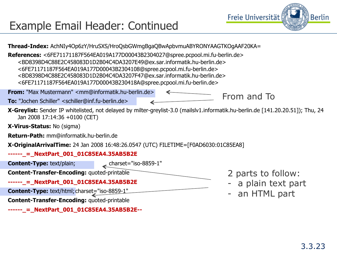

#### Example Email Header: Continued

**Thread-Index:** AchNIy4Op6zY/HruSXS/HroQsbGWmgBgaQBwApbvmuABYRONYAAGTKOgAAF20KA=

**References:** <6FE71171187F564EA019A177D00043B2304027@spree.pcpool.mi.fu-berlin.de> <BD8398D4C88E2C458083D1D2B04C4DA3207E49@ex.sar.informatik.hu-berlin.de> <6FE71171187F564EA019A177D00043B2304108@spree.pcpool.mi.fu-berlin.de> <BD8398D4C88E2C458083D1D2B04C4DA3207F47@ex.sar.informatik.hu-berlin.de> <6FE71171187F564EA019A177D00043B230418A@spree.pcpool.mi.fu-berlin.de>

**From:** "Max Mustermann" <mm@informatik.hu-berlin.de>

**To:** "Jochen Schiller" <schiller@inf.fu-berlin.de>

From and To

**X-Greylist:** Sender IP whitelisted, not delayed by milter-greylist-3.0 (mailslv1.informatik.hu-berlin.de [141.20.20.51]); Thu, 24 Jan 2008 17:14:36 +0100 (CET)

**X-Virus-Status:** No (sigma)

**Return-Path:** mm@informatik.hu-berlin.de

**X-OriginalArrivalTime:** 24 Jan 2008 16:48:26.0547 (UTC) FILETIME=[F0AD6030:01C85EA8]

#### **------\_=\_NextPart\_001\_01C85EA4.35AB5B2E**

**Content-Type:** text/plain; charset="iso-8859-1"

**Content-Transfer-Encoding:** quoted-printable

**------\_=\_NextPart\_001\_01C85EA4.35AB5B2E** 

**Content-Type:** text/html; charset="iso-8859-1"

**Content-Transfer-Encoding:** quoted-printable

**------\_=\_NextPart\_001\_01C85EA4.35AB5B2E--** 

- 2 parts to follow:
- a plain text part
- an HTML part